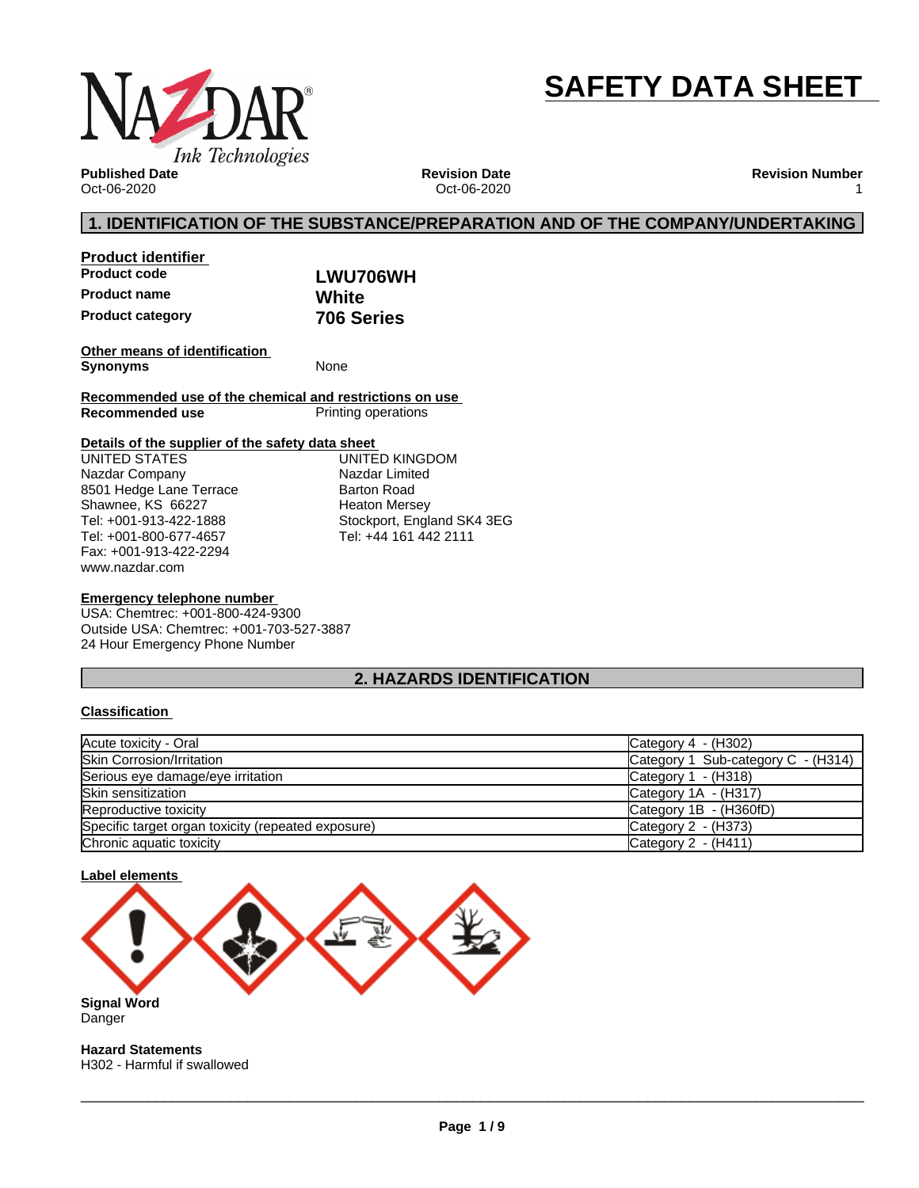

# **SAFETY DATA SHEET**

**Published Date** Oct-06-2020

**Revision Date** Oct-06-2020 **Revision Number** 1

# **1. IDENTIFICATION OF THE SUBSTANCE/PREPARATION AND OF THE COMPANY/UNDERTAKING**

| <b>Product identifier</b> |                 |  |
|---------------------------|-----------------|--|
| <b>Product code</b>       | <b>LWU706WH</b> |  |
| <b>Product name</b>       | White           |  |
| <b>Product category</b>   | 706 Series      |  |

**Other means of identification Synonyms** None

**Recommended use of the chemical and restrictions on use Printing operations** 

#### **Details of the supplier of the safety data sheet**

www.nazdar.com UNITED STATES Nazdar Company 8501 Hedge Lane Terrace Shawnee, KS 66227 Tel: +001-913-422-1888 Tel: +001-800-677-4657 Fax: +001-913-422-2294

UNITED KINGDOM Nazdar Limited Barton Road Heaton Mersey Stockport, England SK4 3EG Tel: +44 161 442 2111

#### **Emergency telephone number**

USA: Chemtrec: +001-800-424-9300 Outside USA: Chemtrec: +001-703-527-3887 24 Hour Emergency Phone Number

# **2. HAZARDS IDENTIFICATION**

#### **Classification**

| Acute toxicity - Oral                              | Category $4 - (H302)$              |
|----------------------------------------------------|------------------------------------|
| <b>Skin Corrosion/Irritation</b>                   | Category 1 Sub-category C - (H314) |
| Serious eye damage/eye irritation                  | Category $1 - (H318)$              |
| <b>Skin sensitization</b>                          | Category 1A - (H317)               |
| <b>Reproductive toxicity</b>                       | Category 1B - (H360fD)             |
| Specific target organ toxicity (repeated exposure) | Category 2 - (H373)                |
| Chronic aquatic toxicity                           | Category 2 - (H411)                |



**Hazard Statements** H302 - Harmful if swallowed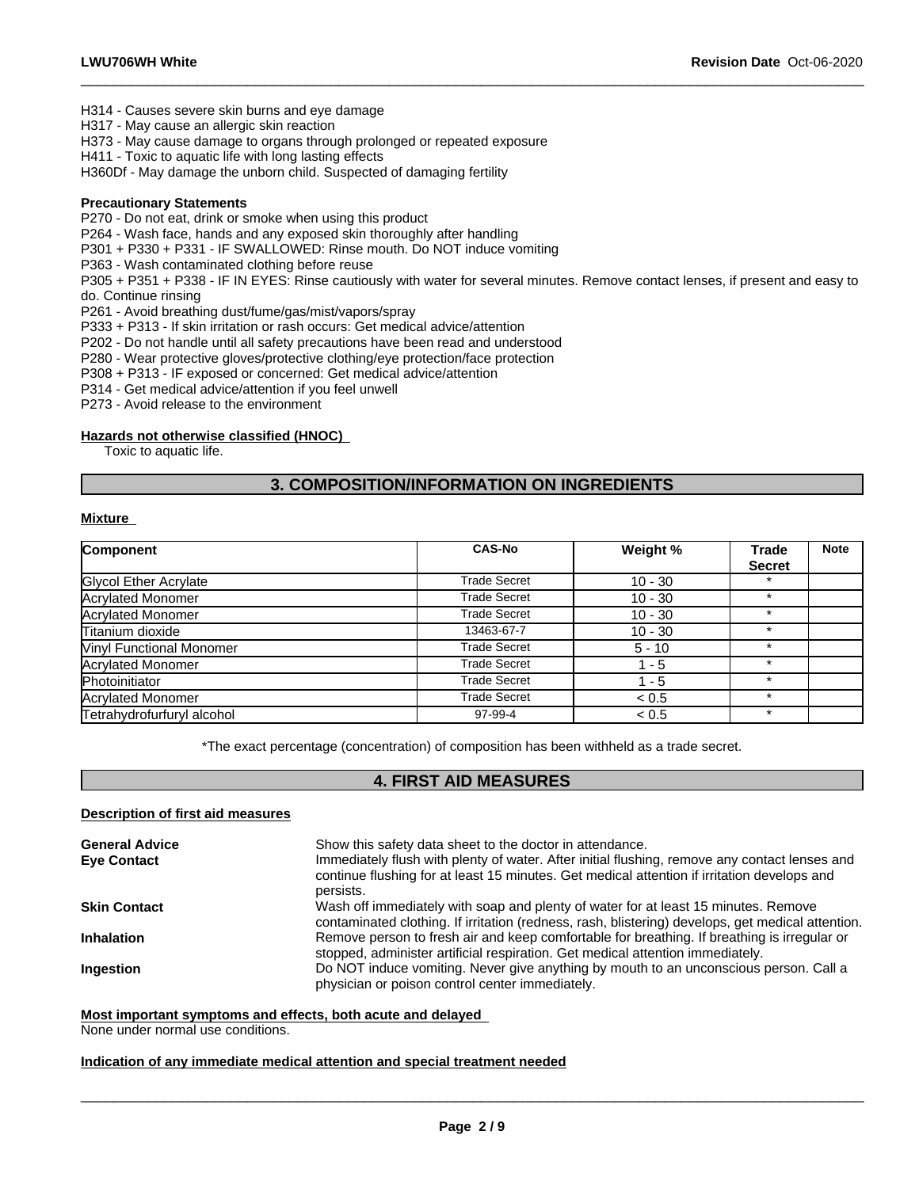H314 - Causes severe skin burns and eye damage

H317 - May cause an allergic skin reaction

H373 - May cause damage to organs through prolonged or repeated exposure

H411 - Toxic to aquatic life with long lasting effects

H360Df - May damage the unborn child. Suspected of damaging fertility

#### **Precautionary Statements**

P270 - Do not eat, drink or smoke when using this product

P264 - Wash face, hands and any exposed skin thoroughly after handling

P301 + P330 + P331 - IF SWALLOWED: Rinse mouth. Do NOT induce vomiting

P363 - Wash contaminated clothing before reuse

P305 + P351 + P338 - IF IN EYES: Rinse cautiously with water forseveral minutes. Remove contact lenses, if present and easy to do. Continue rinsing

 $\_$  ,  $\_$  ,  $\_$  ,  $\_$  ,  $\_$  ,  $\_$  ,  $\_$  ,  $\_$  ,  $\_$  ,  $\_$  ,  $\_$  ,  $\_$  ,  $\_$  ,  $\_$  ,  $\_$  ,  $\_$  ,  $\_$  ,  $\_$  ,  $\_$  ,  $\_$  ,  $\_$  ,  $\_$  ,  $\_$  ,  $\_$  ,  $\_$  ,  $\_$  ,  $\_$  ,  $\_$  ,  $\_$  ,  $\_$  ,  $\_$  ,  $\_$  ,  $\_$  ,  $\_$  ,  $\_$  ,  $\_$  ,  $\_$  ,

P261 - Avoid breathing dust/fume/gas/mist/vapors/spray

P333 + P313 - If skin irritation or rash occurs: Get medical advice/attention

P202 - Do not handle until all safety precautions have been read and understood

P280 - Wear protective gloves/protective clothing/eye protection/face protection

P308 + P313 - IF exposed or concerned: Get medical advice/attention

P314 - Get medical advice/attention if you feel unwell

P273 - Avoid release to the environment

#### **Hazards not otherwise classified (HNOC)**

Toxic to aquatic life.

# **3. COMPOSITION/INFORMATION ON INGREDIENTS**

#### **Mixture**

| Component                       | <b>CAS-No</b>       | Weight %  | Trade         | Note |
|---------------------------------|---------------------|-----------|---------------|------|
|                                 |                     |           | <b>Secret</b> |      |
| Glycol Ether Acrylate           | <b>Trade Secret</b> | $10 - 30$ |               |      |
| <b>Acrylated Monomer</b>        | <b>Trade Secret</b> | $10 - 30$ | $\star$       |      |
| Acrylated Monomer               | <b>Trade Secret</b> | $10 - 30$ | $\star$       |      |
| Titanium dioxide                | 13463-67-7          | $10 - 30$ | $\star$       |      |
| <b>Vinyl Functional Monomer</b> | <b>Trade Secret</b> | $5 - 10$  |               |      |
| Acrylated Monomer               | Trade Secret        | $1 - 5$   | $\star$       |      |
| Photoinitiator                  | <b>Trade Secret</b> | $1 - 5$   | $\star$       |      |
| Acrylated Monomer               | <b>Trade Secret</b> | < 0.5     |               |      |
| Tetrahydrofurfuryl alcohol      | 97-99-4             | < 0.5     | $\star$       |      |

\*The exact percentage (concentration) of composition has been withheld as a trade secret.

# **4. FIRST AID MEASURES**

#### **Description of first aid measures**

| <b>General Advice</b> | Show this safety data sheet to the doctor in attendance.                                                                                                                                                  |
|-----------------------|-----------------------------------------------------------------------------------------------------------------------------------------------------------------------------------------------------------|
| <b>Eye Contact</b>    | Immediately flush with plenty of water. After initial flushing, remove any contact lenses and<br>continue flushing for at least 15 minutes. Get medical attention if irritation develops and<br>persists. |
| <b>Skin Contact</b>   | Wash off immediately with soap and plenty of water for at least 15 minutes. Remove<br>contaminated clothing. If irritation (redness, rash, blistering) develops, get medical attention.                   |
| <b>Inhalation</b>     | Remove person to fresh air and keep comfortable for breathing. If breathing is irregular or<br>stopped, administer artificial respiration. Get medical attention immediately.                             |
| Ingestion             | Do NOT induce vomiting. Never give anything by mouth to an unconscious person. Call a<br>physician or poison control center immediately.                                                                  |

# **Most important symptoms and effects, both acute and delayed**

None under normal use conditions.

#### **Indication of any immediate medical attention and special treatment needed**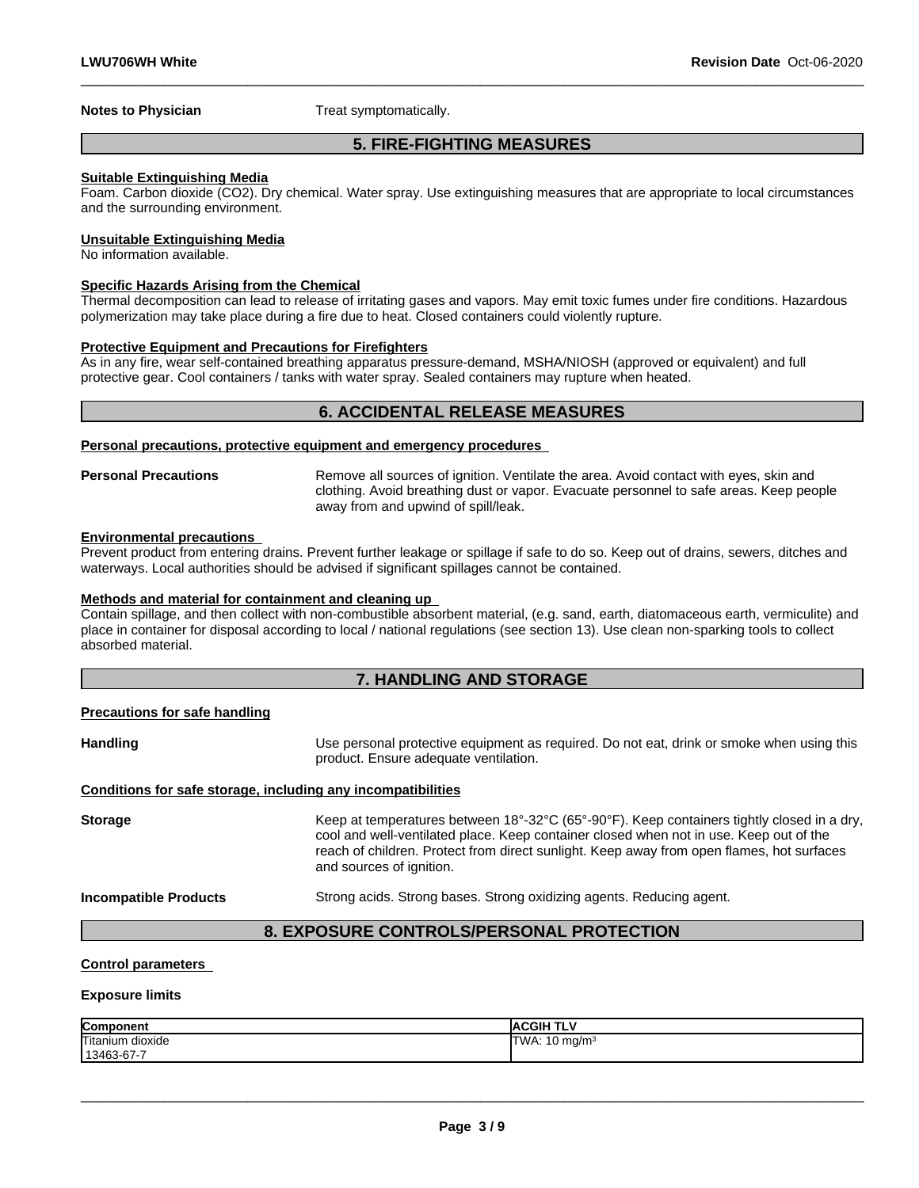**Notes to Physician** Treat symptomatically.

# **5. FIRE-FIGHTING MEASURES**

 $\_$  ,  $\_$  ,  $\_$  ,  $\_$  ,  $\_$  ,  $\_$  ,  $\_$  ,  $\_$  ,  $\_$  ,  $\_$  ,  $\_$  ,  $\_$  ,  $\_$  ,  $\_$  ,  $\_$  ,  $\_$  ,  $\_$  ,  $\_$  ,  $\_$  ,  $\_$  ,  $\_$  ,  $\_$  ,  $\_$  ,  $\_$  ,  $\_$  ,  $\_$  ,  $\_$  ,  $\_$  ,  $\_$  ,  $\_$  ,  $\_$  ,  $\_$  ,  $\_$  ,  $\_$  ,  $\_$  ,  $\_$  ,  $\_$  ,

#### **Suitable Extinguishing Media**

Foam. Carbon dioxide (CO2). Dry chemical. Water spray. Use extinguishing measures that are appropriate to local circumstances and the surrounding environment.

#### **Unsuitable Extinguishing Media**

No information available.

# **Specific Hazards Arising from the Chemical**

Thermal decomposition can lead to release of irritating gases and vapors. May emit toxic fumes under fire conditions. Hazardous polymerization may take place during a fire due to heat. Closed containers could violently rupture.

#### **Protective Equipment and Precautions for Firefighters**

As in any fire, wear self-contained breathing apparatus pressure-demand, MSHA/NIOSH (approved or equivalent) and full protective gear. Cool containers / tanks with water spray. Sealed containers may rupture when heated.

# **6. ACCIDENTAL RELEASE MEASURES**

#### **Personal precautions, protective equipment and emergency procedures**

**Personal Precautions** Remove all sources of ignition. Ventilate the area. Avoid contact with eyes, skin and clothing. Avoid breathing dust or vapor. Evacuate personnel to safe areas. Keep people away from and upwind of spill/leak.

#### **Environmental precautions**

Prevent product from entering drains. Prevent further leakage or spillage if safe to do so. Keep out of drains, sewers, ditches and waterways. Local authorities should be advised if significant spillages cannot be contained.

#### **Methods and material for containment and cleaning up**

Contain spillage, and then collect with non-combustible absorbent material, (e.g. sand, earth, diatomaceous earth, vermiculite) and place in container for disposal according to local / national regulations (see section 13). Use clean non-sparking tools to collect absorbed material.

# **7. HANDLING AND STORAGE**

#### **Precautions for safe handling**

Handling **Handling Example 20** Use personal protective equipment as required. Do not eat, drink or smoke when using this product. Ensure adequate ventilation.

#### **Conditions for safe storage, including any incompatibilities**

| <b>Storage</b> | Keep at temperatures between 18°-32°C (65°-90°F). Keep containers tightly closed in a dry,<br>cool and well-ventilated place. Keep container closed when not in use. Keep out of the<br>reach of children. Protect from direct sunlight. Keep away from open flames, hot surfaces<br>and sources of ignition. |
|----------------|---------------------------------------------------------------------------------------------------------------------------------------------------------------------------------------------------------------------------------------------------------------------------------------------------------------|
|                |                                                                                                                                                                                                                                                                                                               |

#### **Incompatible Products** Strong acids. Strong bases. Strong oxidizing agents. Reducing agent.

 $\_$  ,  $\_$  ,  $\_$  ,  $\_$  ,  $\_$  ,  $\_$  ,  $\_$  ,  $\_$  ,  $\_$  ,  $\_$  ,  $\_$  ,  $\_$  ,  $\_$  ,  $\_$  ,  $\_$  ,  $\_$  ,  $\_$  ,  $\_$  ,  $\_$  ,  $\_$  ,  $\_$  ,  $\_$  ,  $\_$  ,  $\_$  ,  $\_$  ,  $\_$  ,  $\_$  ,  $\_$  ,  $\_$  ,  $\_$  ,  $\_$  ,  $\_$  ,  $\_$  ,  $\_$  ,  $\_$  ,  $\_$  ,  $\_$  ,

# **8. EXPOSURE CONTROLS/PERSONAL PROTECTION**

#### **Control parameters**

#### **Exposure limits**

| Component        | <b>CGIH TLV</b><br>IA     |
|------------------|---------------------------|
| Titanium dioxide | TWA: 10 mg/m <sup>3</sup> |
| 13463-67-7       |                           |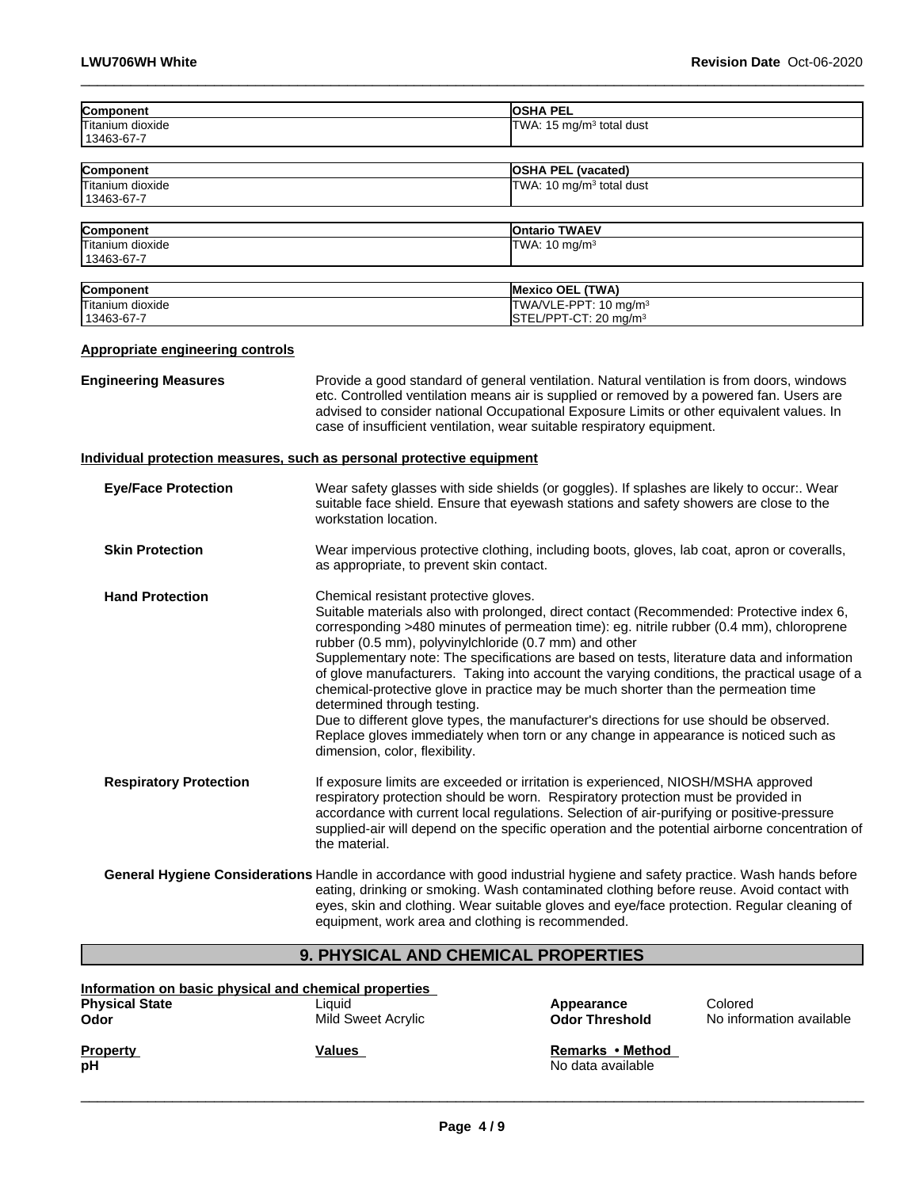| Component         | <b>OSHA PEL</b>                      |  |
|-------------------|--------------------------------------|--|
| lTitanium dioxide | TWA: 15 mg/m <sup>3</sup> total dust |  |
| 13463-67-7        |                                      |  |
|                   |                                      |  |
| Component         | <b>OSHA PEL (vacated)</b>            |  |
| Titanium dioxide  | TWA: 10 mg/m <sup>3</sup> total dust |  |
| 13463-67-7        |                                      |  |
|                   |                                      |  |
| Component         | <b>Ontario TWAEV</b>                 |  |
| Titanium dioxide  | TWA: $10 \text{ mg/m}^3$             |  |
| 13463-67-7        |                                      |  |
|                   |                                      |  |
| <b>Component</b>  | <b>Mexico OEL (TWA)</b>              |  |
| Titanium dioxide  | TWA/VLE-PPT: 10 mg/m <sup>3</sup>    |  |
| 13463-67-7        | STEL/PPT-CT: 20 mg/m <sup>3</sup>    |  |

### **Appropriate engineering controls**

| <b>Engineering Measures</b><br>Provide a good standard of general ventilation. Natural ventilation is from doors, windows<br>etc. Controlled ventilation means air is supplied or removed by a powered fan. Users are<br>advised to consider national Occupational Exposure Limits or other equivalent values. In<br>case of insufficient ventilation, wear suitable respiratory equipment. |                                                                                                                                                                                                                                                                                                                                                                                                                                                                                                                                                                                                                                                                                                                                                                                                                               |
|---------------------------------------------------------------------------------------------------------------------------------------------------------------------------------------------------------------------------------------------------------------------------------------------------------------------------------------------------------------------------------------------|-------------------------------------------------------------------------------------------------------------------------------------------------------------------------------------------------------------------------------------------------------------------------------------------------------------------------------------------------------------------------------------------------------------------------------------------------------------------------------------------------------------------------------------------------------------------------------------------------------------------------------------------------------------------------------------------------------------------------------------------------------------------------------------------------------------------------------|
|                                                                                                                                                                                                                                                                                                                                                                                             | Individual protection measures, such as personal protective equipment                                                                                                                                                                                                                                                                                                                                                                                                                                                                                                                                                                                                                                                                                                                                                         |
| <b>Eye/Face Protection</b>                                                                                                                                                                                                                                                                                                                                                                  | Wear safety glasses with side shields (or goggles). If splashes are likely to occur:. Wear<br>suitable face shield. Ensure that eyewash stations and safety showers are close to the<br>workstation location.                                                                                                                                                                                                                                                                                                                                                                                                                                                                                                                                                                                                                 |
| <b>Skin Protection</b>                                                                                                                                                                                                                                                                                                                                                                      | Wear impervious protective clothing, including boots, gloves, lab coat, apron or coveralls,<br>as appropriate, to prevent skin contact.                                                                                                                                                                                                                                                                                                                                                                                                                                                                                                                                                                                                                                                                                       |
| <b>Hand Protection</b>                                                                                                                                                                                                                                                                                                                                                                      | Chemical resistant protective gloves.<br>Suitable materials also with prolonged, direct contact (Recommended: Protective index 6,<br>corresponding >480 minutes of permeation time): eg. nitrile rubber (0.4 mm), chloroprene<br>rubber (0.5 mm), polyvinylchloride (0.7 mm) and other<br>Supplementary note: The specifications are based on tests, literature data and information<br>of glove manufacturers. Taking into account the varying conditions, the practical usage of a<br>chemical-protective glove in practice may be much shorter than the permeation time<br>determined through testing.<br>Due to different glove types, the manufacturer's directions for use should be observed.<br>Replace gloves immediately when torn or any change in appearance is noticed such as<br>dimension, color, flexibility. |
| <b>Respiratory Protection</b>                                                                                                                                                                                                                                                                                                                                                               | If exposure limits are exceeded or irritation is experienced, NIOSH/MSHA approved<br>respiratory protection should be worn. Respiratory protection must be provided in<br>accordance with current local regulations. Selection of air-purifying or positive-pressure<br>supplied-air will depend on the specific operation and the potential airborne concentration of<br>the material.                                                                                                                                                                                                                                                                                                                                                                                                                                       |
|                                                                                                                                                                                                                                                                                                                                                                                             | General Hygiene Considerations Handle in accordance with good industrial hygiene and safety practice. Wash hands before<br>eating, drinking or smoking. Wash contaminated clothing before reuse. Avoid contact with<br>eyes, skin and clothing. Wear suitable gloves and eye/face protection. Regular cleaning of<br>equipment, work area and clothing is recommended.                                                                                                                                                                                                                                                                                                                                                                                                                                                        |

# **9. PHYSICAL AND CHEMICAL PROPERTIES**

|                       | Information on basic physical and chemical properties |                       |
|-----------------------|-------------------------------------------------------|-----------------------|
| <b>Physical State</b> | Liauid                                                | Appearance            |
| Odor                  | Mild Sweet Acrylic                                    | <b>Odor Threshold</b> |
| <b>Property</b>       | <b>Values</b>                                         | Remarks • Meth        |
| рH                    |                                                       | No data available     |

**Physical State State**<br> **Physical State Colored Color Threshold** No inform

**No information available** 

**Remarks** • Method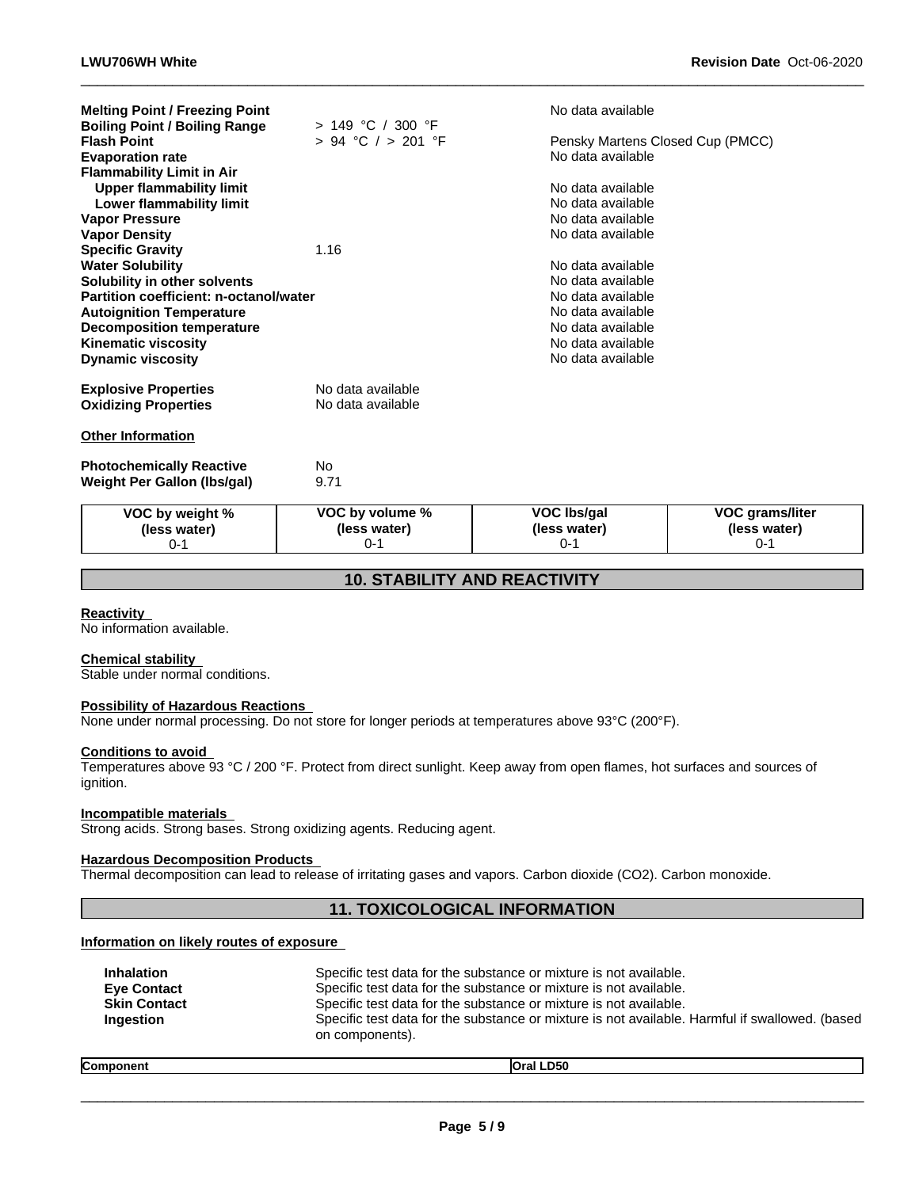| <b>Melting Point / Freezing Point</b><br><b>Boiling Point / Boiling Range</b><br><b>Flash Point</b><br><b>Evaporation rate</b><br><b>Flammability Limit in Air</b>                                                                                                                                                                                                            | > 149 °C / 300 °F<br>$> 94$ °C $/ > 201$ °F | No data available<br>Pensky Martens Closed Cup (PMCC)<br>No data available                                                                                                                                                          |                                                   |  |
|-------------------------------------------------------------------------------------------------------------------------------------------------------------------------------------------------------------------------------------------------------------------------------------------------------------------------------------------------------------------------------|---------------------------------------------|-------------------------------------------------------------------------------------------------------------------------------------------------------------------------------------------------------------------------------------|---------------------------------------------------|--|
| <b>Upper flammability limit</b><br>Lower flammability limit<br><b>Vapor Pressure</b><br><b>Vapor Density</b><br><b>Specific Gravity</b><br><b>Water Solubility</b><br>Solubility in other solvents<br>Partition coefficient: n-octanol/water<br><b>Autoignition Temperature</b><br><b>Decomposition temperature</b><br><b>Kinematic viscosity</b><br><b>Dynamic viscosity</b> | 1.16                                        | No data available<br>No data available<br>No data available<br>No data available<br>No data available<br>No data available<br>No data available<br>No data available<br>No data available<br>No data available<br>No data available |                                                   |  |
| <b>Explosive Properties</b><br><b>Oxidizing Properties</b>                                                                                                                                                                                                                                                                                                                    | No data available<br>No data available      |                                                                                                                                                                                                                                     |                                                   |  |
| <b>Other Information</b>                                                                                                                                                                                                                                                                                                                                                      |                                             |                                                                                                                                                                                                                                     |                                                   |  |
| <b>Photochemically Reactive</b><br><b>Weight Per Gallon (Ibs/gal)</b>                                                                                                                                                                                                                                                                                                         | <b>No</b><br>9.71                           |                                                                                                                                                                                                                                     |                                                   |  |
| VOC by weight %<br>(less water)<br>$0 - 1$                                                                                                                                                                                                                                                                                                                                    | VOC by volume %<br>(less water)<br>$0 - 1$  | <b>VOC Ibs/gal</b><br>(less water)<br>$0 - 1$                                                                                                                                                                                       | <b>VOC grams/liter</b><br>(less water)<br>$0 - 1$ |  |

# **10. STABILITY AND REACTIVITY**

#### **Reactivity**

No information available.

#### **Chemical stability**

Stable under normal conditions.

#### **Possibility of Hazardous Reactions**

None under normal processing. Do not store for longer periods at temperatures above 93°C (200°F).

#### **Conditions to avoid**

Temperatures above 93 °C / 200 °F. Protect from direct sunlight. Keep away from open flames, hot surfaces and sources of ignition.

#### **Incompatible materials**

Strong acids. Strong bases. Strong oxidizing agents. Reducing agent.

### **Hazardous Decomposition Products**

Thermal decomposition can lead to release of irritating gases and vapors. Carbon dioxide (CO2). Carbon monoxide.

# **11. TOXICOLOGICAL INFORMATION**

#### **Information on likely routes of exposure**

| <b>Inhalation</b>   | Specific test data for the substance or mixture is not available.                              |
|---------------------|------------------------------------------------------------------------------------------------|
| <b>Eve Contact</b>  | Specific test data for the substance or mixture is not available.                              |
| <b>Skin Contact</b> | Specific test data for the substance or mixture is not available.                              |
| Ingestion           | Specific test data for the substance or mixture is not available. Harmful if swallowed. (based |
|                     | on components).                                                                                |

# **Component Oral LD50**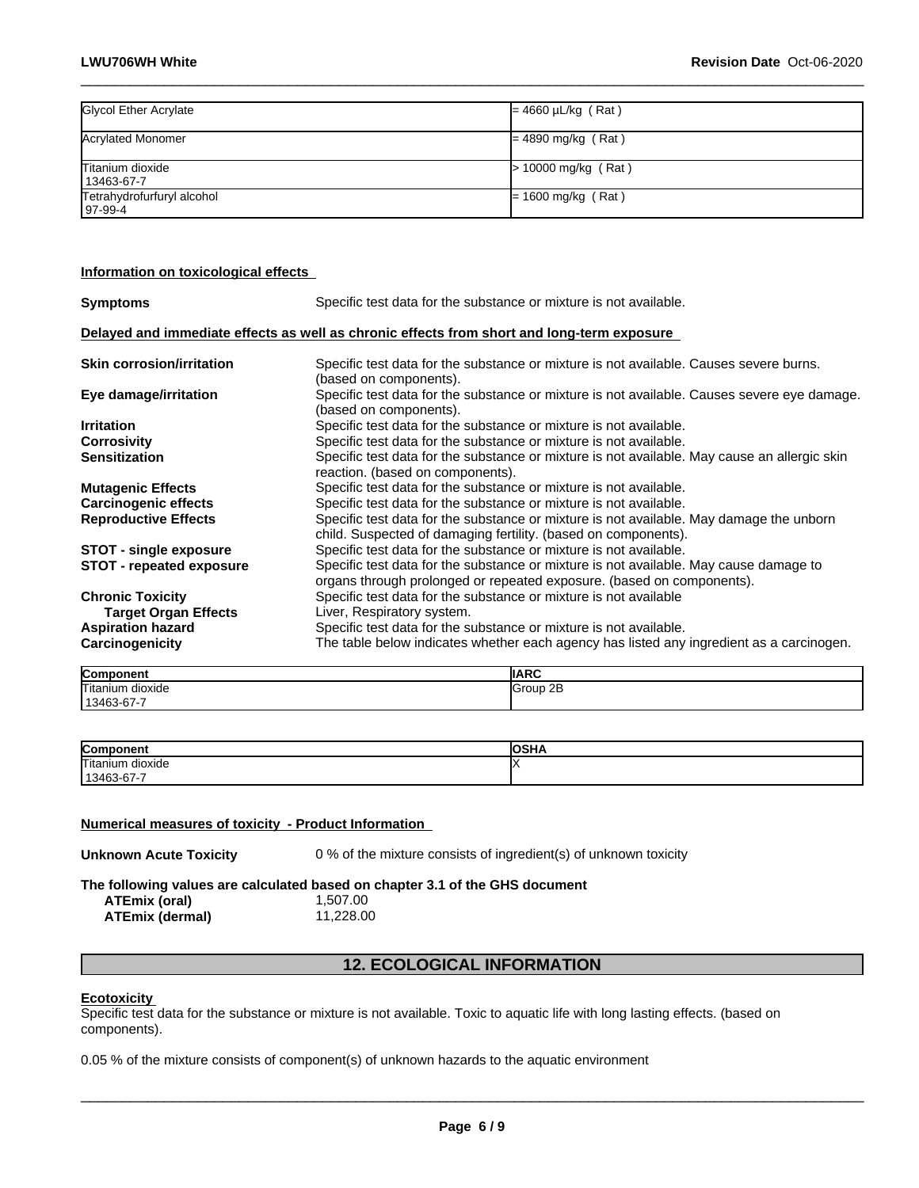| Glycol Ether Acrylate                   | $= 4660 \mu L/kg$ (Rat) |
|-----------------------------------------|-------------------------|
| Acrylated Monomer                       | $= 4890$ mg/kg (Rat)    |
| Titanium dioxide<br>  13463-67-7        | $> 10000$ mg/kg (Rat)   |
| Tetrahydrofurfuryl alcohol<br>  97-99-4 | $= 1600$ mg/kg (Rat)    |

### **Information on toxicological effects**

| <b>Symptoms</b>                                        | Specific test data for the substance or mixture is not available.                                                                                              |
|--------------------------------------------------------|----------------------------------------------------------------------------------------------------------------------------------------------------------------|
|                                                        | Delayed and immediate effects as well as chronic effects from short and long-term exposure                                                                     |
| <b>Skin corrosion/irritation</b>                       | Specific test data for the substance or mixture is not available. Causes severe burns.<br>(based on components).                                               |
| Eye damage/irritation                                  | Specific test data for the substance or mixture is not available. Causes severe eye damage.<br>(based on components).                                          |
| <b>Irritation</b>                                      | Specific test data for the substance or mixture is not available.                                                                                              |
| <b>Corrosivity</b>                                     | Specific test data for the substance or mixture is not available.                                                                                              |
| <b>Sensitization</b>                                   | Specific test data for the substance or mixture is not available. May cause an allergic skin<br>reaction. (based on components).                               |
| <b>Mutagenic Effects</b>                               | Specific test data for the substance or mixture is not available.                                                                                              |
| <b>Carcinogenic effects</b>                            | Specific test data for the substance or mixture is not available.                                                                                              |
| <b>Reproductive Effects</b>                            | Specific test data for the substance or mixture is not available. May damage the unborn<br>child. Suspected of damaging fertility. (based on components).      |
| <b>STOT - single exposure</b>                          | Specific test data for the substance or mixture is not available.                                                                                              |
| <b>STOT - repeated exposure</b>                        | Specific test data for the substance or mixture is not available. May cause damage to<br>organs through prolonged or repeated exposure. (based on components). |
| <b>Chronic Toxicity</b><br><b>Target Organ Effects</b> | Specific test data for the substance or mixture is not available<br>Liver, Respiratory system.                                                                 |
| <b>Aspiration hazard</b>                               | Specific test data for the substance or mixture is not available.                                                                                              |
| Carcinogenicity                                        | The table below indicates whether each agency has listed any ingredient as a carcinogen.                                                                       |

| L                           | $\sim$ |
|-----------------------------|--------|
| <b>Component</b>            | ᄢᄭᅜ    |
| Titanium                    | ۰2E    |
| dioxide                     | 'Group |
| $\sim$ $\sim$<br>$13463-67$ |        |

| Componen<br>יישו                   | 100111<br>ארוטי<br>שו |
|------------------------------------|-----------------------|
| Titanium<br>dioxide                |                       |
| 3-67-7<br>1346 <sup>o</sup><br>- ت |                       |

### **Numerical measures of toxicity - Product Information**

**Unknown Acute Toxicity** 0 % of the mixture consists of ingredient(s) of unknown toxicity

**The following values are calculated based on chapter 3.1 of the GHS document**

**ATEmix (oral)** 1,507.00<br> **ATEmix (dermal)** 11,228.00 **ATEmix** (dermal)

# **12. ECOLOGICAL INFORMATION**

#### **Ecotoxicity**

Specific test data for the substance or mixture is not available. Toxic to aquatic life with long lasting effects. (based on components).

0.05 % of the mixture consists of component(s) of unknown hazards to the aquatic environment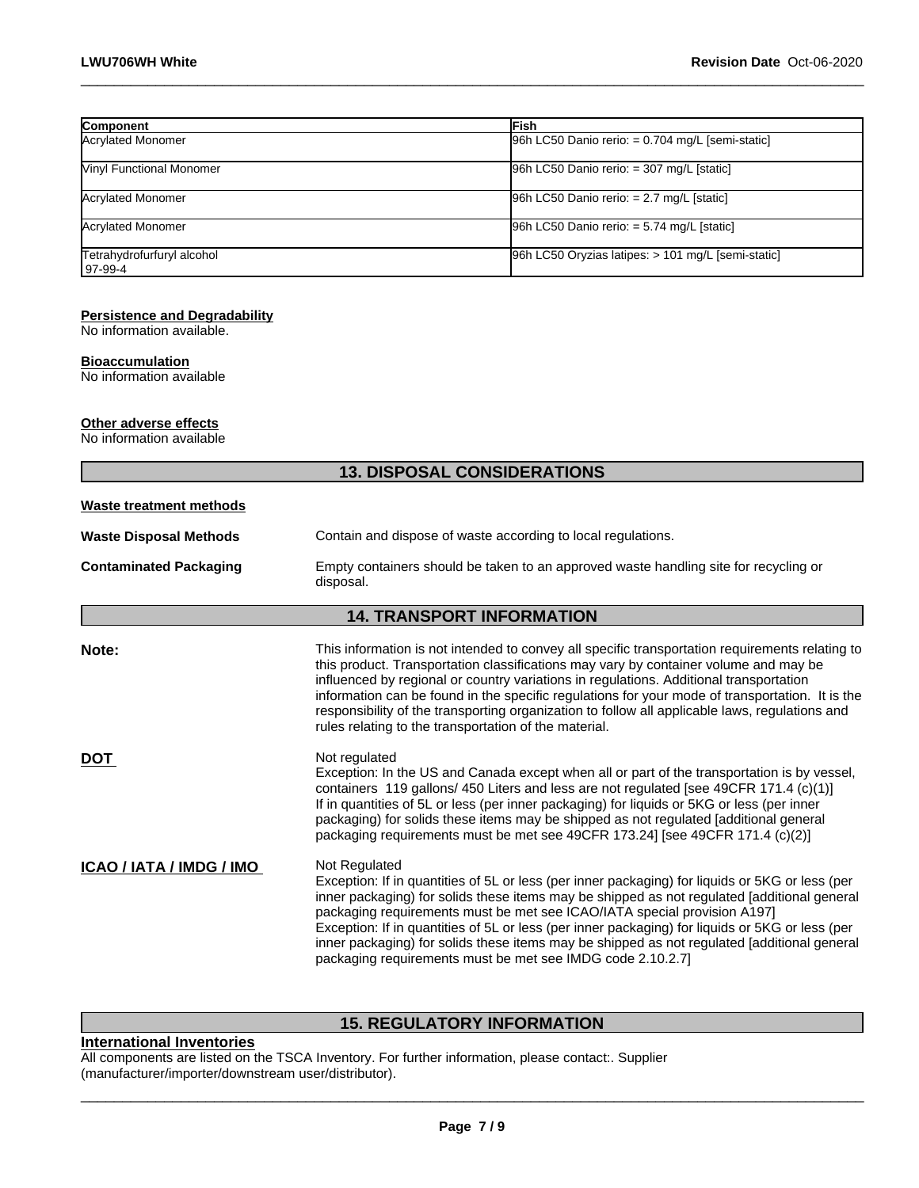| Component                               | <b>IFish</b>                                       |
|-----------------------------------------|----------------------------------------------------|
| <b>Acrylated Monomer</b>                | $96h$ LC50 Danio rerio: = 0.704 mg/L [semi-static] |
| <b>Vinyl Functional Monomer</b>         | 96h LC50 Danio rerio: = 307 mg/L [static]          |
| <b>Acrylated Monomer</b>                | $96h$ LC50 Danio rerio: = 2.7 mg/L [static]        |
| <b>Acrylated Monomer</b>                | $96h$ LC50 Danio rerio: = 5.74 mg/L [static]       |
| Tetrahydrofurfuryl alcohol<br>  97-99-4 | 96h LC50 Oryzias latipes: > 101 mg/L [semi-static] |

#### **Persistence and Degradability**

No information available.

### **Bioaccumulation**

No information available

#### **Other adverse effects**

No information available

|                                | <b>13. DISPOSAL CONSIDERATIONS</b>                                                                                                                                                                                                                                                                                                                                                                                                                                                                                                                          |
|--------------------------------|-------------------------------------------------------------------------------------------------------------------------------------------------------------------------------------------------------------------------------------------------------------------------------------------------------------------------------------------------------------------------------------------------------------------------------------------------------------------------------------------------------------------------------------------------------------|
| <b>Waste treatment methods</b> |                                                                                                                                                                                                                                                                                                                                                                                                                                                                                                                                                             |
| <b>Waste Disposal Methods</b>  | Contain and dispose of waste according to local regulations.                                                                                                                                                                                                                                                                                                                                                                                                                                                                                                |
| <b>Contaminated Packaging</b>  | Empty containers should be taken to an approved waste handling site for recycling or<br>disposal.                                                                                                                                                                                                                                                                                                                                                                                                                                                           |
|                                | <b>14. TRANSPORT INFORMATION</b>                                                                                                                                                                                                                                                                                                                                                                                                                                                                                                                            |
| Note:                          | This information is not intended to convey all specific transportation requirements relating to<br>this product. Transportation classifications may vary by container volume and may be<br>influenced by regional or country variations in regulations. Additional transportation<br>information can be found in the specific regulations for your mode of transportation. It is the<br>responsibility of the transporting organization to follow all applicable laws, regulations and<br>rules relating to the transportation of the material.             |
| <b>DOT</b>                     | Not regulated<br>Exception: In the US and Canada except when all or part of the transportation is by vessel,<br>containers 119 gallons/ 450 Liters and less are not regulated [see 49CFR 171.4 (c)(1)]<br>If in quantities of 5L or less (per inner packaging) for liquids or 5KG or less (per inner<br>packaging) for solids these items may be shipped as not regulated [additional general<br>packaging requirements must be met see 49CFR 173.24] [see 49CFR 171.4 (c)(2)]                                                                              |
| ICAO / IATA / IMDG / IMO       | Not Regulated<br>Exception: If in quantities of 5L or less (per inner packaging) for liquids or 5KG or less (per<br>inner packaging) for solids these items may be shipped as not regulated [additional general<br>packaging requirements must be met see ICAO/IATA special provision A197]<br>Exception: If in quantities of 5L or less (per inner packaging) for liquids or 5KG or less (per<br>inner packaging) for solids these items may be shipped as not regulated [additional general<br>packaging requirements must be met see IMDG code 2.10.2.7] |

# **15. REGULATORY INFORMATION**

# **International Inventories**

All components are listed on the TSCA Inventory. For further information, please contact:. Supplier (manufacturer/importer/downstream user/distributor).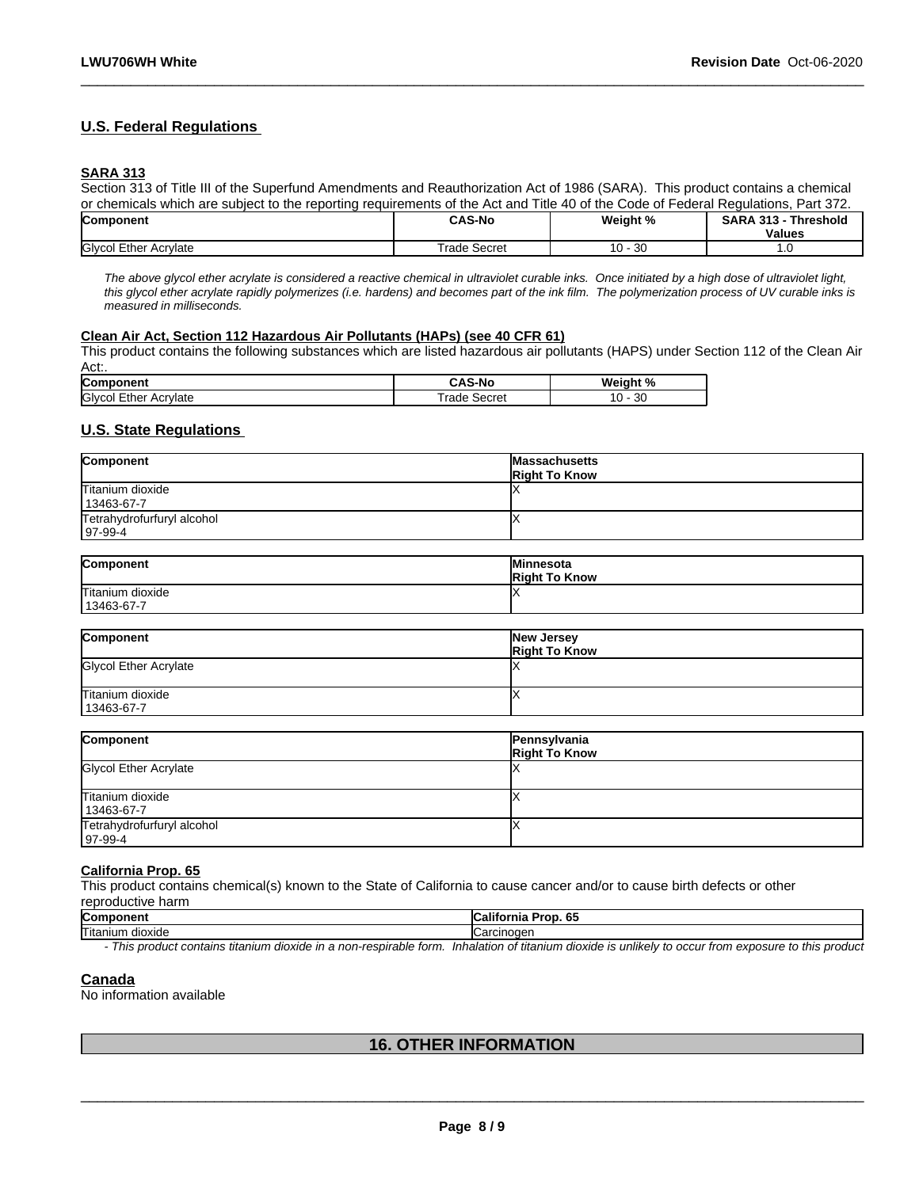# **U.S. Federal Regulations**

#### **SARA 313**

Section 313 of Title III of the Superfund Amendments and Reauthorization Act of 1986 (SARA). This product contains a chemical or chemicals which are subject to the reporting requirements of the Act and Title 40 of the Code of Federal Regulations, Part 372.

 $\_$  ,  $\_$  ,  $\_$  ,  $\_$  ,  $\_$  ,  $\_$  ,  $\_$  ,  $\_$  ,  $\_$  ,  $\_$  ,  $\_$  ,  $\_$  ,  $\_$  ,  $\_$  ,  $\_$  ,  $\_$  ,  $\_$  ,  $\_$  ,  $\_$  ,  $\_$  ,  $\_$  ,  $\_$  ,  $\_$  ,  $\_$  ,  $\_$  ,  $\_$  ,  $\_$  ,  $\_$  ,  $\_$  ,  $\_$  ,  $\_$  ,  $\_$  ,  $\_$  ,  $\_$  ,  $\_$  ,  $\_$  ,  $\_$  ,

| <b>Component</b>             | <b>CAS-No</b>   | <br>Neight %<br>7٥ | .<br>242<br>Threshold<br>.<br><b>Values</b> |
|------------------------------|-----------------|--------------------|---------------------------------------------|
| <b>Givcol Ether Acrylate</b> | Secret<br>⊺rade | $\sim$<br>၁ပ<br>v  | $\cdots$                                    |

*The above glycol ether acrylate is considered a reactive chemical in ultraviolet curable inks. Once initiated by a high dose of ultraviolet light, this glycol ether acrylate rapidly polymerizes (i.e. hardens) and becomes part of the ink film. The polymerization process of UV curable inks is measured in milliseconds.*

#### **Clean Air Act,Section 112 Hazardous Air Pollutants (HAPs) (see 40 CFR 61)**

This product contains the following substances which are listed hazardous air pollutants (HAPS) under Section 112 of the Clean Air Act:.

| Glycol<br>ാറ<br>10<br>Ether<br>Secret<br>Acrylate<br>™rade<br>- 11<br>vu | Component | .<br>S-NC | Weight<br>ιn.<br>70 |
|--------------------------------------------------------------------------|-----------|-----------|---------------------|
|                                                                          |           |           |                     |

# **U.S. State Regulations**

| Component                                | <b>Massachusetts</b><br><b>Right To Know</b> |
|------------------------------------------|----------------------------------------------|
| Titanium dioxide<br>13463-67-7           |                                              |
| Tetrahydrofurfuryl alcohol<br>$197-99-4$ |                                              |

| Component        | <b>Minnesota</b><br><b>Right To Know</b> |
|------------------|------------------------------------------|
| Titanium dioxide |                                          |
| 13463-67-7       |                                          |

| Component                      | New Jersey<br><b>Right To Know</b> |
|--------------------------------|------------------------------------|
| Glycol Ether Acrylate          |                                    |
| Titanium dioxide<br>13463-67-7 |                                    |

| Component                             | Pennsylvania<br><b>Right To Know</b> |
|---------------------------------------|--------------------------------------|
| <b>Glycol Ether Acrylate</b>          |                                      |
| Titanium dioxide<br>13463-67-7        |                                      |
| Tetrahydrofurfuryl alcohol<br>97-99-4 |                                      |

#### **California Prop. 65**

This product contains chemical(s) known to the State of California to cause cancer and/or to cause birth defects or other reproductive harm

| Component                  | <br><br>∶alifornia<br>Prop. 65 |
|----------------------------|--------------------------------|
| <b>Titanium</b><br>dioxide | <b>ICarcinogen</b>             |

*- This product contains titanium dioxide in a non-respirable form. Inhalation of titanium dioxide is unlikely to occur from exposure to this product*

### **Canada**

No information available

# **16. OTHER INFORMATION**